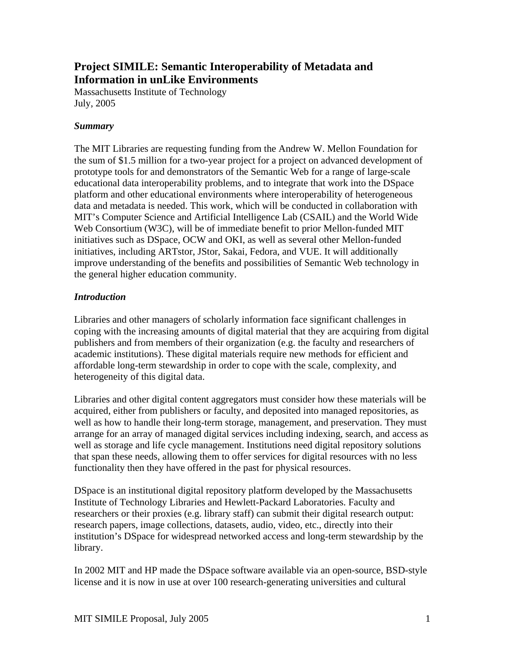# **Project SIMILE: Semantic Interoperability of Metadata and Information in unLike Environments**

Massachusetts Institute of Technology July, 2005

#### *Summary*

The MIT Libraries are requesting funding from the Andrew W. Mellon Foundation for the sum of \$1.5 million for a two-year project for a project on advanced development of prototype tools for and demonstrators of the Semantic Web for a range of large-scale educational data interoperability problems, and to integrate that work into the DSpace platform and other educational environments where interoperability of heterogeneous data and metadata is needed. This work, which will be conducted in collaboration with MIT's Computer Science and Artificial Intelligence Lab (CSAIL) and the World Wide Web Consortium (W3C), will be of immediate benefit to prior Mellon-funded MIT initiatives such as DSpace, OCW and OKI, as well as several other Mellon-funded initiatives, including ARTstor, JStor, Sakai, Fedora, and VUE. It will additionally improve understanding of the benefits and possibilities of Semantic Web technology in the general higher education community.

# *Introduction*

Libraries and other managers of scholarly information face significant challenges in coping with the increasing amounts of digital material that they are acquiring from digital publishers and from members of their organization (e.g. the faculty and researchers of academic institutions). These digital materials require new methods for efficient and affordable long-term stewardship in order to cope with the scale, complexity, and heterogeneity of this digital data.

Libraries and other digital content aggregators must consider how these materials will be acquired, either from publishers or faculty, and deposited into managed repositories, as well as how to handle their long-term storage, management, and preservation. They must arrange for an array of managed digital services including indexing, search, and access as well as storage and life cycle management. Institutions need digital repository solutions that span these needs, allowing them to offer services for digital resources with no less functionality then they have offered in the past for physical resources.

DSpace is an institutional digital repository platform developed by the Massachusetts Institute of Technology Libraries and Hewlett-Packard Laboratories. Faculty and researchers or their proxies (e.g. library staff) can submit their digital research output: research papers, image collections, datasets, audio, video, etc., directly into their institution's DSpace for widespread networked access and long-term stewardship by the library.

In 2002 MIT and HP made the DSpace software available via an open-source, BSD-style license and it is now in use at over 100 research-generating universities and cultural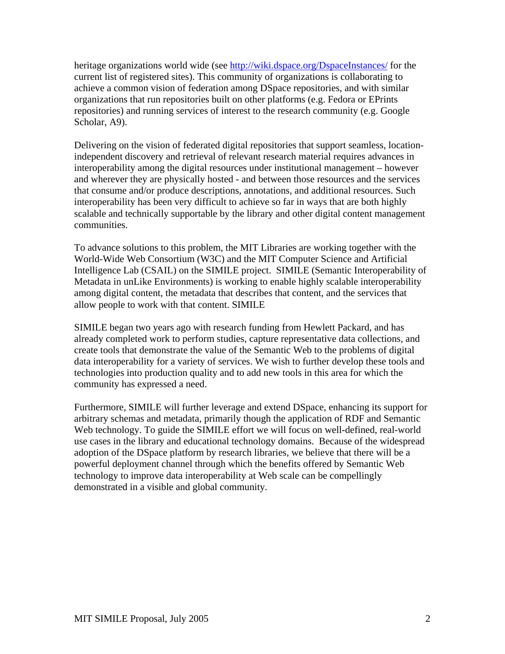heritage organizations world wide (see <http://wiki.dspace.org/DspaceInstances/> for the current list of registered sites). This community of organizations is collaborating to achieve a common vision of federation among DSpace repositories, and with similar organizations that run repositories built on other platforms (e.g. Fedora or EPrints repositories) and running services of interest to the research community (e.g. Google Scholar, A9).

Delivering on the vision of federated digital repositories that support seamless, locationindependent discovery and retrieval of relevant research material requires advances in interoperability among the digital resources under institutional management – however and wherever they are physically hosted - and between those resources and the services that consume and/or produce descriptions, annotations, and additional resources. Such interoperability has been very difficult to achieve so far in ways that are both highly scalable and technically supportable by the library and other digital content management communities.

To advance solutions to this problem, the MIT Libraries are working together with the World-Wide Web Consortium (W3C) and the MIT Computer Science and Artificial Intelligence Lab (CSAIL) on the SIMILE project. SIMILE (Semantic Interoperability of Metadata in unLike Environments) is working to enable highly scalable interoperability among digital content, the metadata that describes that content, and the services that allow people to work with that content. SIMILE

SIMILE began two years ago with research funding from Hewlett Packard, and has already completed work to perform studies, capture representative data collections, and create tools that demonstrate the value of the Semantic Web to the problems of digital data interoperability for a variety of services. We wish to further develop these tools and technologies into production quality and to add new tools in this area for which the community has expressed a need.

Furthermore, SIMILE will further leverage and extend DSpace, enhancing its support for arbitrary schemas and metadata, primarily though the application of RDF and Semantic Web technology. To guide the SIMILE effort we will focus on well-defined, real-world use cases in the library and educational technology domains. Because of the widespread adoption of the DSpace platform by research libraries, we believe that there will be a powerful deployment channel through which the benefits offered by Semantic Web technology to improve data interoperability at Web scale can be compellingly demonstrated in a visible and global community.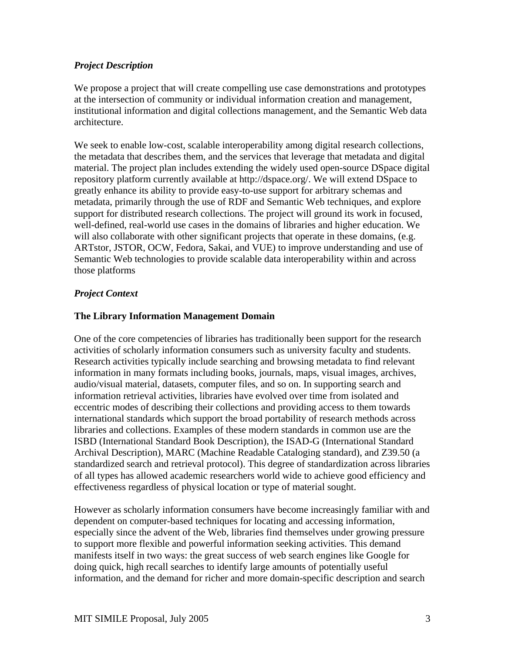# *Project Description*

We propose a project that will create compelling use case demonstrations and prototypes at the intersection of community or individual information creation and management, institutional information and digital collections management, and the Semantic Web data architecture.

We seek to enable low-cost, scalable interoperability among digital research collections, the metadata that describes them, and the services that leverage that metadata and digital material. The project plan includes extending the widely used open-source DSpace digital repository platform currently available at http://dspace.org/. We will extend DSpace to greatly enhance its ability to provide easy-to-use support for arbitrary schemas and metadata, primarily through the use of RDF and Semantic Web techniques, and explore support for distributed research collections. The project will ground its work in focused, well-defined, real-world use cases in the domains of libraries and higher education. We will also collaborate with other significant projects that operate in these domains, (e.g. ARTstor, JSTOR, OCW, Fedora, Sakai, and VUE) to improve understanding and use of Semantic Web technologies to provide scalable data interoperability within and across those platforms

# *Project Context*

# **The Library Information Management Domain**

One of the core competencies of libraries has traditionally been support for the research activities of scholarly information consumers such as university faculty and students. Research activities typically include searching and browsing metadata to find relevant information in many formats including books, journals, maps, visual images, archives, audio/visual material, datasets, computer files, and so on. In supporting search and information retrieval activities, libraries have evolved over time from isolated and eccentric modes of describing their collections and providing access to them towards international standards which support the broad portability of research methods across libraries and collections. Examples of these modern standards in common use are the ISBD (International Standard Book Description), the ISAD-G (International Standard Archival Description), MARC (Machine Readable Cataloging standard), and Z39.50 (a standardized search and retrieval protocol). This degree of standardization across libraries of all types has allowed academic researchers world wide to achieve good efficiency and effectiveness regardless of physical location or type of material sought.

However as scholarly information consumers have become increasingly familiar with and dependent on computer-based techniques for locating and accessing information, especially since the advent of the Web, libraries find themselves under growing pressure to support more flexible and powerful information seeking activities. This demand manifests itself in two ways: the great success of web search engines like Google for doing quick, high recall searches to identify large amounts of potentially useful information, and the demand for richer and more domain-specific description and search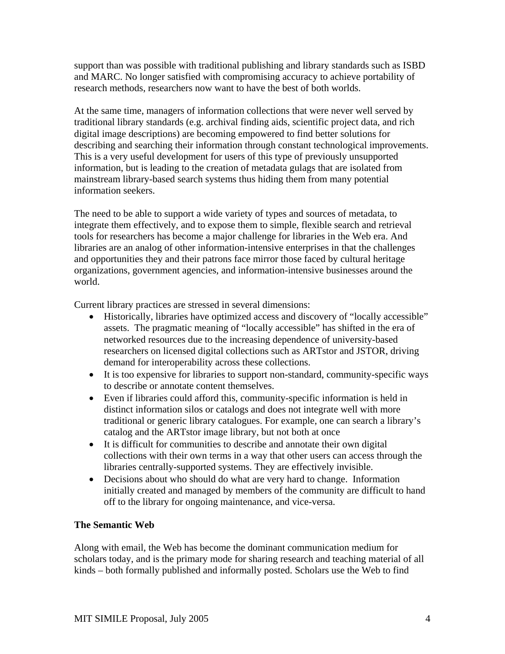support than was possible with traditional publishing and library standards such as ISBD and MARC. No longer satisfied with compromising accuracy to achieve portability of research methods, researchers now want to have the best of both worlds.

At the same time, managers of information collections that were never well served by traditional library standards (e.g. archival finding aids, scientific project data, and rich digital image descriptions) are becoming empowered to find better solutions for describing and searching their information through constant technological improvements. This is a very useful development for users of this type of previously unsupported information, but is leading to the creation of metadata gulags that are isolated from mainstream library-based search systems thus hiding them from many potential information seekers.

The need to be able to support a wide variety of types and sources of metadata, to integrate them effectively, and to expose them to simple, flexible search and retrieval tools for researchers has become a major challenge for libraries in the Web era. And libraries are an analog of other information-intensive enterprises in that the challenges and opportunities they and their patrons face mirror those faced by cultural heritage organizations, government agencies, and information-intensive businesses around the world.

Current library practices are stressed in several dimensions:

- Historically, libraries have optimized access and discovery of "locally accessible" assets. The pragmatic meaning of "locally accessible" has shifted in the era of networked resources due to the increasing dependence of university-based researchers on licensed digital collections such as ARTstor and JSTOR, driving demand for interoperability across these collections.
- It is too expensive for libraries to support non-standard, community-specific ways to describe or annotate content themselves.
- Even if libraries could afford this, community-specific information is held in distinct information silos or catalogs and does not integrate well with more traditional or generic library catalogues. For example, one can search a library's catalog and the ARTstor image library, but not both at once
- It is difficult for communities to describe and annotate their own digital collections with their own terms in a way that other users can access through the libraries centrally-supported systems. They are effectively invisible.
- Decisions about who should do what are very hard to change. Information initially created and managed by members of the community are difficult to hand off to the library for ongoing maintenance, and vice-versa.

# **The Semantic Web**

Along with email, the Web has become the dominant communication medium for scholars today, and is the primary mode for sharing research and teaching material of all kinds – both formally published and informally posted. Scholars use the Web to find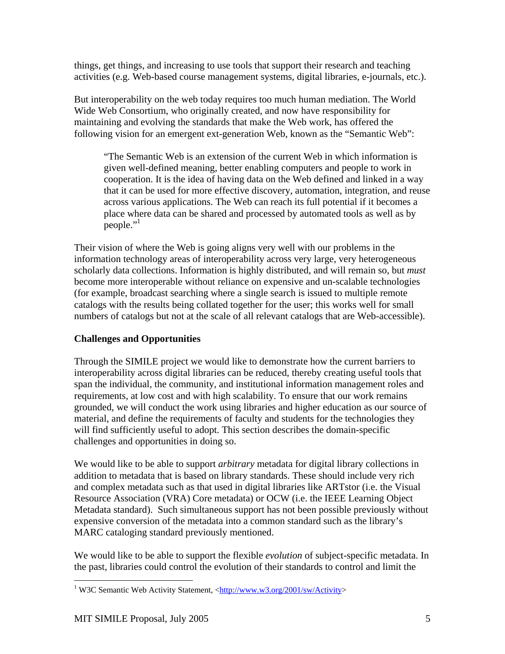things, get things, and increasing to use tools that support their research and teaching activities (e.g. Web-based course management systems, digital libraries, e-journals, etc.).

But interoperability on the web today requires too much human mediation. The World Wide Web Consortium, who originally created, and now have responsibility for maintaining and evolving the standards that make the Web work, has offered the following vision for an emergent ext-generation Web, known as the "Semantic Web":

"The Semantic Web is an extension of the current Web in which information is given well-defined meaning, better enabling computers and people to work in cooperation. It is the idea of having data on the Web defined and linked in a way that it can be used for more effective discovery, automation, integration, and reuse across various applications. The Web can reach its full potential if it becomes a place where data can be shared and processed by automated tools as well as by people."

Their vision of where the Web is going aligns very well with our problems in the information technology areas of interoperability across very large, very heterogeneous scholarly data collections. Information is highly distributed, and will remain so, but *must* become more interoperable without reliance on expensive and un-scalable technologies (for example, broadcast searching where a single search is issued to multiple remote catalogs with the results being collated together for the user; this works well for small numbers of catalogs but not at the scale of all relevant catalogs that are Web-accessible).

# **Challenges and Opportunities**

Through the SIMILE project we would like to demonstrate how the current barriers to interoperability across digital libraries can be reduced, thereby creating useful tools that span the individual, the community, and institutional information management roles and requirements, at low cost and with high scalability. To ensure that our work remains grounded, we will conduct the work using libraries and higher education as our source of material, and define the requirements of faculty and students for the technologies they will find sufficiently useful to adopt. This section describes the domain-specific challenges and opportunities in doing so.

We would like to be able to support *arbitrary* metadata for digital library collections in addition to metadata that is based on library standards. These should include very rich and complex metadata such as that used in digital libraries like ARTstor (i.e. the Visual Resource Association (VRA) Core metadata) or OCW (i.e. the IEEE Learning Object Metadata standard). Such simultaneous support has not been possible previously without expensive conversion of the metadata into a common standard such as the library's MARC cataloging standard previously mentioned.

We would like to be able to support the flexible *evolution* of subject-specific metadata. In the past, libraries could control the evolution of their standards to control and limit the

 $\overline{a}$ 

<span id="page-4-0"></span><sup>&</sup>lt;sup>1</sup> W3C Semantic Web Activity Statement, [<http://www.w3.org/2001/sw/Activity>](http://www.w3.org/2001/sw/Activity)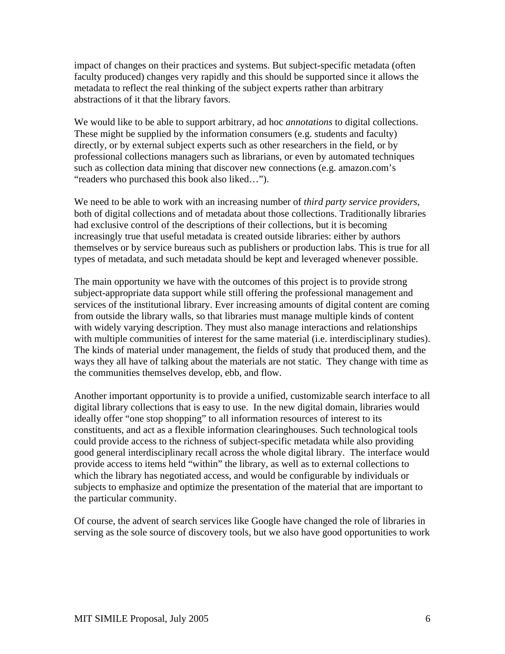impact of changes on their practices and systems. But subject-specific metadata (often faculty produced) changes very rapidly and this should be supported since it allows the metadata to reflect the real thinking of the subject experts rather than arbitrary abstractions of it that the library favors.

We would like to be able to support arbitrary, ad hoc *annotations* to digital collections. These might be supplied by the information consumers (e.g. students and faculty) directly, or by external subject experts such as other researchers in the field, or by professional collections managers such as librarians, or even by automated techniques such as collection data mining that discover new connections (e.g. amazon.com's "readers who purchased this book also liked…").

We need to be able to work with an increasing number of *third party service providers*, both of digital collections and of metadata about those collections. Traditionally libraries had exclusive control of the descriptions of their collections, but it is becoming increasingly true that useful metadata is created outside libraries: either by authors themselves or by service bureaus such as publishers or production labs. This is true for all types of metadata, and such metadata should be kept and leveraged whenever possible.

The main opportunity we have with the outcomes of this project is to provide strong subject-appropriate data support while still offering the professional management and services of the institutional library. Ever increasing amounts of digital content are coming from outside the library walls, so that libraries must manage multiple kinds of content with widely varying description. They must also manage interactions and relationships with multiple communities of interest for the same material (i.e. interdisciplinary studies). The kinds of material under management, the fields of study that produced them, and the ways they all have of talking about the materials are not static. They change with time as the communities themselves develop, ebb, and flow.

Another important opportunity is to provide a unified, customizable search interface to all digital library collections that is easy to use. In the new digital domain, libraries would ideally offer "one stop shopping" to all information resources of interest to its constituents, and act as a flexible information clearinghouses. Such technological tools could provide access to the richness of subject-specific metadata while also providing good general interdisciplinary recall across the whole digital library. The interface would provide access to items held "within" the library, as well as to external collections to which the library has negotiated access, and would be configurable by individuals or subjects to emphasize and optimize the presentation of the material that are important to the particular community.

Of course, the advent of search services like Google have changed the role of libraries in serving as the sole source of discovery tools, but we also have good opportunities to work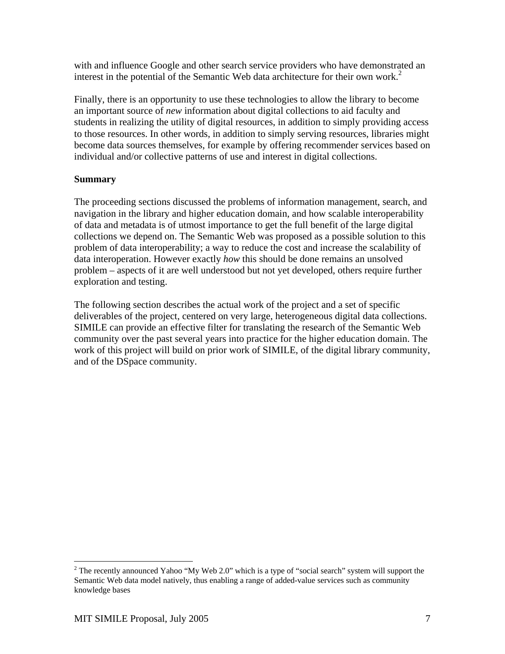with and influence Google and other search service providers who have demonstrated an interest in the potential of the Semantic Web data architecture for their own work.<sup>[2](#page-6-0)</sup>

Finally, there is an opportunity to use these technologies to allow the library to become an important source of *new* information about digital collections to aid faculty and students in realizing the utility of digital resources, in addition to simply providing access to those resources. In other words, in addition to simply serving resources, libraries might become data sources themselves, for example by offering recommender services based on individual and/or collective patterns of use and interest in digital collections.

# **Summary**

The proceeding sections discussed the problems of information management, search, and navigation in the library and higher education domain, and how scalable interoperability of data and metadata is of utmost importance to get the full benefit of the large digital collections we depend on. The Semantic Web was proposed as a possible solution to this problem of data interoperability; a way to reduce the cost and increase the scalability of data interoperation. However exactly *how* this should be done remains an unsolved problem – aspects of it are well understood but not yet developed, others require further exploration and testing.

The following section describes the actual work of the project and a set of specific deliverables of the project, centered on very large, heterogeneous digital data collections. SIMILE can provide an effective filter for translating the research of the Semantic Web community over the past several years into practice for the higher education domain. The work of this project will build on prior work of SIMILE, of the digital library community, and of the DSpace community.

<span id="page-6-0"></span><sup>1</sup> <sup>2</sup> The recently announced Yahoo "My Web 2.0" which is a type of "social search" system will support the Semantic Web data model natively, thus enabling a range of added-value services such as community knowledge bases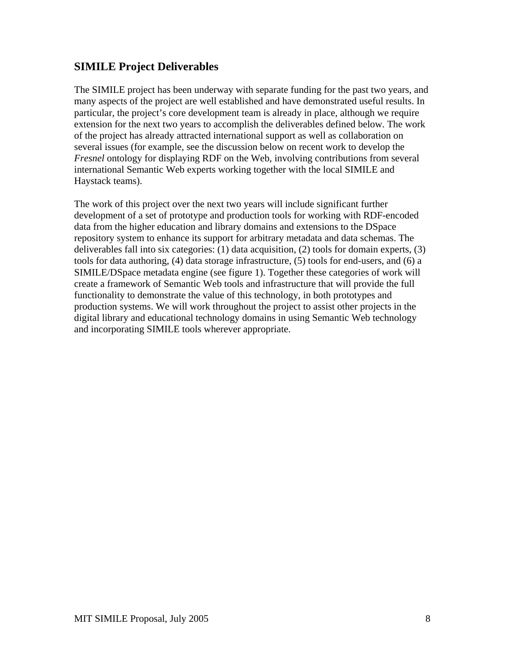# **SIMILE Project Deliverables**

The SIMILE project has been underway with separate funding for the past two years, and many aspects of the project are well established and have demonstrated useful results. In particular, the project's core development team is already in place, although we require extension for the next two years to accomplish the deliverables defined below. The work of the project has already attracted international support as well as collaboration on several issues (for example, see the discussion below on recent work to develop the *Fresnel* ontology for displaying RDF on the Web, involving contributions from several international Semantic Web experts working together with the local SIMILE and Haystack teams).

The work of this project over the next two years will include significant further development of a set of prototype and production tools for working with RDF-encoded data from the higher education and library domains and extensions to the DSpace repository system to enhance its support for arbitrary metadata and data schemas. The deliverables fall into six categories: (1) data acquisition, (2) tools for domain experts, (3) tools for data authoring, (4) data storage infrastructure, (5) tools for end-users, and (6) a SIMILE/DSpace metadata engine (see figure 1). Together these categories of work will create a framework of Semantic Web tools and infrastructure that will provide the full functionality to demonstrate the value of this technology, in both prototypes and production systems. We will work throughout the project to assist other projects in the digital library and educational technology domains in using Semantic Web technology and incorporating SIMILE tools wherever appropriate.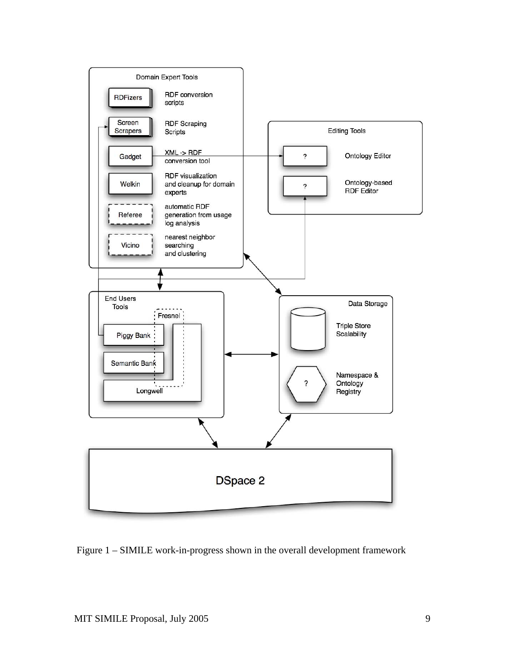

Figure 1 – SIMILE work-in-progress shown in the overall development framework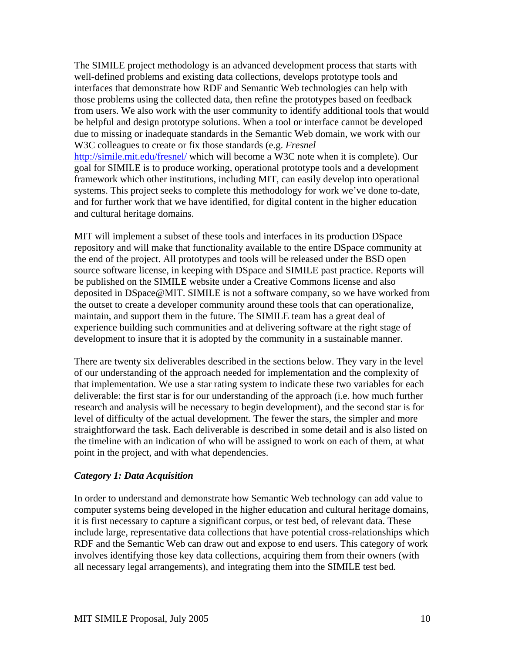The SIMILE project methodology is an advanced development process that starts with well-defined problems and existing data collections, develops prototype tools and interfaces that demonstrate how RDF and Semantic Web technologies can help with those problems using the collected data, then refine the prototypes based on feedback from users. We also work with the user community to identify additional tools that would be helpful and design prototype solutions. When a tool or interface cannot be developed due to missing or inadequate standards in the Semantic Web domain, we work with our W3C colleagues to create or fix those standards (e.g. *Fresnel* <http://simile.mit.edu/fresnel/>which will become a W3C note when it is complete). Our

goal for SIMILE is to produce working, operational prototype tools and a development framework which other institutions, including MIT, can easily develop into operational systems. This project seeks to complete this methodology for work we've done to-date, and for further work that we have identified, for digital content in the higher education and cultural heritage domains.

MIT will implement a subset of these tools and interfaces in its production DSpace repository and will make that functionality available to the entire DSpace community at the end of the project. All prototypes and tools will be released under the BSD open source software license, in keeping with DSpace and SIMILE past practice. Reports will be published on the SIMILE website under a Creative Commons license and also deposited in DSpace@MIT. SIMILE is not a software company, so we have worked from the outset to create a developer community around these tools that can operationalize, maintain, and support them in the future. The SIMILE team has a great deal of experience building such communities and at delivering software at the right stage of development to insure that it is adopted by the community in a sustainable manner.

There are twenty six deliverables described in the sections below. They vary in the level of our understanding of the approach needed for implementation and the complexity of that implementation. We use a star rating system to indicate these two variables for each deliverable: the first star is for our understanding of the approach (i.e. how much further research and analysis will be necessary to begin development), and the second star is for level of difficulty of the actual development. The fewer the stars, the simpler and more straightforward the task. Each deliverable is described in some detail and is also listed on the timeline with an indication of who will be assigned to work on each of them, at what point in the project, and with what dependencies.

#### *Category 1: Data Acquisition*

In order to understand and demonstrate how Semantic Web technology can add value to computer systems being developed in the higher education and cultural heritage domains, it is first necessary to capture a significant corpus, or test bed, of relevant data. These include large, representative data collections that have potential cross-relationships which RDF and the Semantic Web can draw out and expose to end users. This category of work involves identifying those key data collections, acquiring them from their owners (with all necessary legal arrangements), and integrating them into the SIMILE test bed.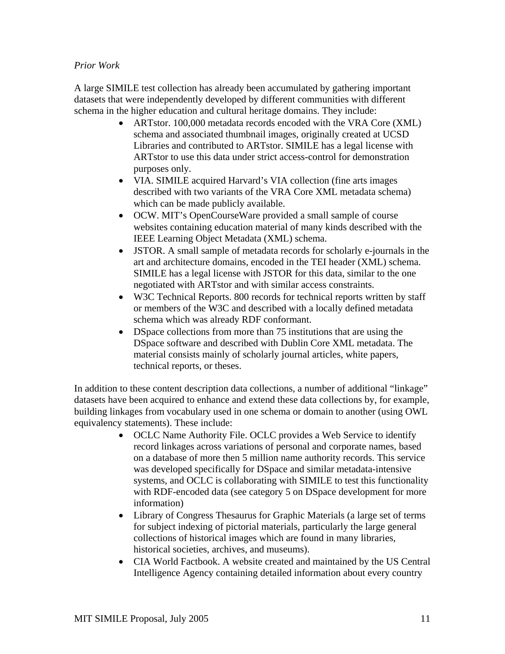#### *Prior Work*

A large SIMILE test collection has already been accumulated by gathering important datasets that were independently developed by different communities with different schema in the higher education and cultural heritage domains. They include:

- ARTstor. 100,000 metadata records encoded with the VRA Core (XML) schema and associated thumbnail images, originally created at UCSD Libraries and contributed to ARTstor. SIMILE has a legal license with ARTstor to use this data under strict access-control for demonstration purposes only.
- VIA. SIMILE acquired Harvard's VIA collection (fine arts images described with two variants of the VRA Core XML metadata schema) which can be made publicly available.
- OCW. MIT's OpenCourseWare provided a small sample of course websites containing education material of many kinds described with the IEEE Learning Object Metadata (XML) schema.
- JSTOR. A small sample of metadata records for scholarly e-journals in the art and architecture domains, encoded in the TEI header (XML) schema. SIMILE has a legal license with JSTOR for this data, similar to the one negotiated with ARTstor and with similar access constraints.
- W3C Technical Reports. 800 records for technical reports written by staff or members of the W3C and described with a locally defined metadata schema which was already RDF conformant.
- DSpace collections from more than 75 institutions that are using the DSpace software and described with Dublin Core XML metadata. The material consists mainly of scholarly journal articles, white papers, technical reports, or theses.

In addition to these content description data collections, a number of additional "linkage" datasets have been acquired to enhance and extend these data collections by, for example, building linkages from vocabulary used in one schema or domain to another (using OWL equivalency statements). These include:

- OCLC Name Authority File. OCLC provides a Web Service to identify record linkages across variations of personal and corporate names, based on a database of more then 5 million name authority records. This service was developed specifically for DSpace and similar metadata-intensive systems, and OCLC is collaborating with SIMILE to test this functionality with RDF-encoded data (see category 5 on DSpace development for more information)
- Library of Congress Thesaurus for Graphic Materials (a large set of terms for subject indexing of pictorial materials, particularly the large general collections of historical images which are found in many libraries, historical societies, archives, and museums).
- CIA World Factbook. A website created and maintained by the US Central Intelligence Agency containing detailed information about every country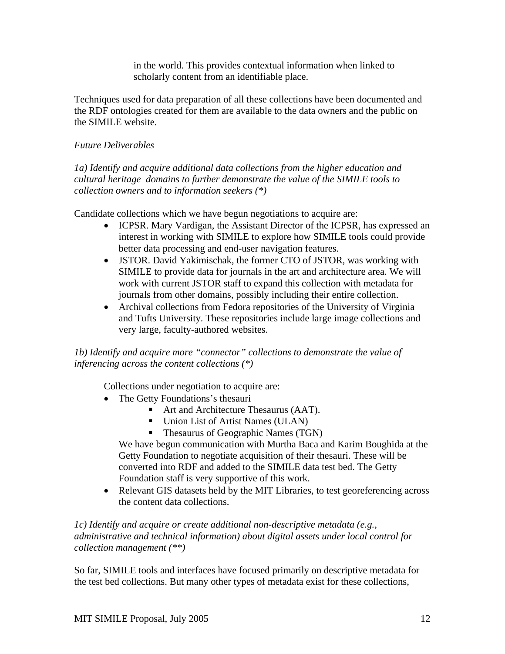in the world. This provides contextual information when linked to scholarly content from an identifiable place.

Techniques used for data preparation of all these collections have been documented and the RDF ontologies created for them are available to the data owners and the public on the SIMILE website.

# *Future Deliverables*

*1a) Identify and acquire additional data collections from the higher education and cultural heritage domains to further demonstrate the value of the SIMILE tools to collection owners and to information seekers (\*)* 

Candidate collections which we have begun negotiations to acquire are:

- ICPSR. Mary Vardigan, the Assistant Director of the ICPSR, has expressed an interest in working with SIMILE to explore how SIMILE tools could provide better data processing and end-user navigation features.
- JSTOR. David Yakimischak, the former CTO of JSTOR, was working with SIMILE to provide data for journals in the art and architecture area. We will work with current JSTOR staff to expand this collection with metadata for journals from other domains, possibly including their entire collection.
- Archival collections from Fedora repositories of the University of Virginia and Tufts University. These repositories include large image collections and very large, faculty-authored websites.

*1b) Identify and acquire more "connector" collections to demonstrate the value of inferencing across the content collections (\*)*

Collections under negotiation to acquire are:

- The Getty Foundations's thesauri
	- Art and Architecture Thesaurus (AAT).
	- Union List of Artist Names (ULAN)
	- **Thesaurus of Geographic Names (TGN)**

We have begun communication with Murtha Baca and Karim Boughida at the Getty Foundation to negotiate acquisition of their thesauri. These will be converted into RDF and added to the SIMILE data test bed. The Getty Foundation staff is very supportive of this work.

• Relevant GIS datasets held by the MIT Libraries, to test georeferencing across the content data collections.

#### *1c) Identify and acquire or create additional non-descriptive metadata (e.g., administrative and technical information) about digital assets under local control for collection management (\*\*)*

So far, SIMILE tools and interfaces have focused primarily on descriptive metadata for the test bed collections. But many other types of metadata exist for these collections,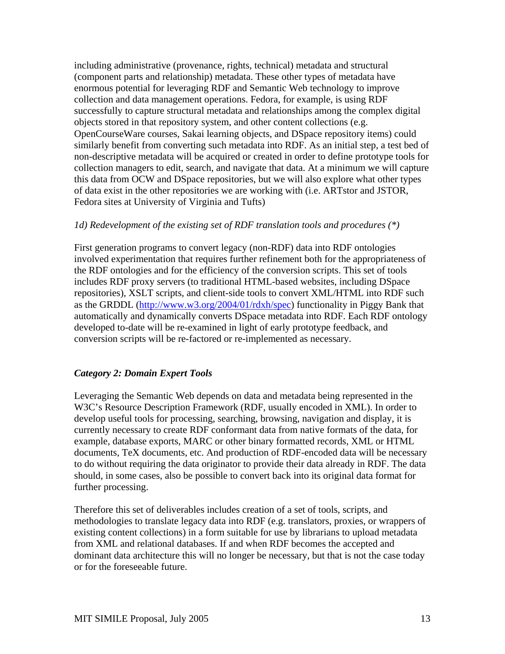including administrative (provenance, rights, technical) metadata and structural (component parts and relationship) metadata. These other types of metadata have enormous potential for leveraging RDF and Semantic Web technology to improve collection and data management operations. Fedora, for example, is using RDF successfully to capture structural metadata and relationships among the complex digital objects stored in that repository system, and other content collections (e.g. OpenCourseWare courses, Sakai learning objects, and DSpace repository items) could similarly benefit from converting such metadata into RDF. As an initial step, a test bed of non-descriptive metadata will be acquired or created in order to define prototype tools for collection managers to edit, search, and navigate that data. At a minimum we will capture this data from OCW and DSpace repositories, but we will also explore what other types of data exist in the other repositories we are working with (i.e. ARTstor and JSTOR, Fedora sites at University of Virginia and Tufts)

#### *1d) Redevelopment of the existing set of RDF translation tools and procedures (\*)*

First generation programs to convert legacy (non-RDF) data into RDF ontologies involved experimentation that requires further refinement both for the appropriateness of the RDF ontologies and for the efficiency of the conversion scripts. This set of tools includes RDF proxy servers (to traditional HTML-based websites, including DSpace repositories), XSLT scripts, and client-side tools to convert XML/HTML into RDF such as the GRDDL ([http://www.w3.org/2004/01/rdxh/spec\)](http://www.w3.org/2004/01/rdxh/spec) functionality in Piggy Bank that automatically and dynamically converts DSpace metadata into RDF. Each RDF ontology developed to-date will be re-examined in light of early prototype feedback, and conversion scripts will be re-factored or re-implemented as necessary.

# *Category 2: Domain Expert Tools*

Leveraging the Semantic Web depends on data and metadata being represented in the W3C's Resource Description Framework (RDF, usually encoded in XML). In order to develop useful tools for processing, searching, browsing, navigation and display, it is currently necessary to create RDF conformant data from native formats of the data, for example, database exports, MARC or other binary formatted records, XML or HTML documents, TeX documents, etc. And production of RDF-encoded data will be necessary to do without requiring the data originator to provide their data already in RDF. The data should, in some cases, also be possible to convert back into its original data format for further processing.

Therefore this set of deliverables includes creation of a set of tools, scripts, and methodologies to translate legacy data into RDF (e.g. translators, proxies, or wrappers of existing content collections) in a form suitable for use by librarians to upload metadata from XML and relational databases. If and when RDF becomes the accepted and dominant data architecture this will no longer be necessary, but that is not the case today or for the foreseeable future.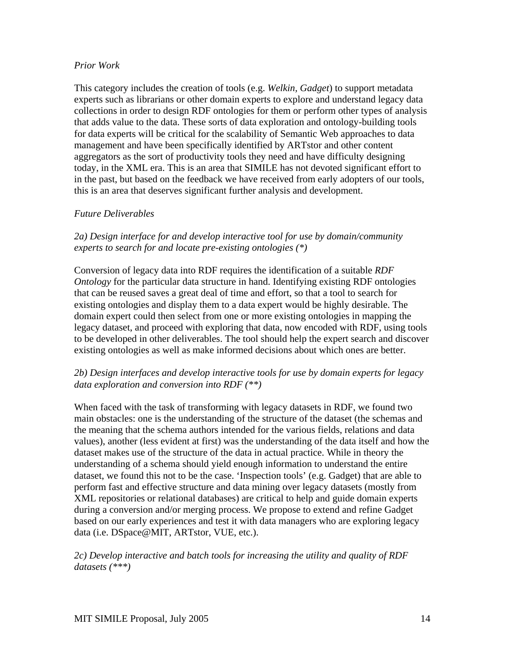#### *Prior Work*

This category includes the creation of tools (e.g. *Welkin, Gadget*) to support metadata experts such as librarians or other domain experts to explore and understand legacy data collections in order to design RDF ontologies for them or perform other types of analysis that adds value to the data. These sorts of data exploration and ontology-building tools for data experts will be critical for the scalability of Semantic Web approaches to data management and have been specifically identified by ARTstor and other content aggregators as the sort of productivity tools they need and have difficulty designing today, in the XML era. This is an area that SIMILE has not devoted significant effort to in the past, but based on the feedback we have received from early adopters of our tools, this is an area that deserves significant further analysis and development.

# *Future Deliverables*

#### *2a) Design interface for and develop interactive tool for use by domain/community experts to search for and locate pre-existing ontologies (\*)*

Conversion of legacy data into RDF requires the identification of a suitable *RDF Ontology* for the particular data structure in hand. Identifying existing RDF ontologies that can be reused saves a great deal of time and effort, so that a tool to search for existing ontologies and display them to a data expert would be highly desirable. The domain expert could then select from one or more existing ontologies in mapping the legacy dataset, and proceed with exploring that data, now encoded with RDF, using tools to be developed in other deliverables. The tool should help the expert search and discover existing ontologies as well as make informed decisions about which ones are better.

# *2b) Design interfaces and develop interactive tools for use by domain experts for legacy data exploration and conversion into RDF (\*\*)*

When faced with the task of transforming with legacy datasets in RDF, we found two main obstacles: one is the understanding of the structure of the dataset (the schemas and the meaning that the schema authors intended for the various fields, relations and data values), another (less evident at first) was the understanding of the data itself and how the dataset makes use of the structure of the data in actual practice. While in theory the understanding of a schema should yield enough information to understand the entire dataset, we found this not to be the case. 'Inspection tools' (e.g. Gadget) that are able to perform fast and effective structure and data mining over legacy datasets (mostly from XML repositories or relational databases) are critical to help and guide domain experts during a conversion and/or merging process. We propose to extend and refine Gadget based on our early experiences and test it with data managers who are exploring legacy data (i.e. DSpace@MIT, ARTstor, VUE, etc.).

*2c) Develop interactive and batch tools for increasing the utility and quality of RDF datasets (\*\*\*)*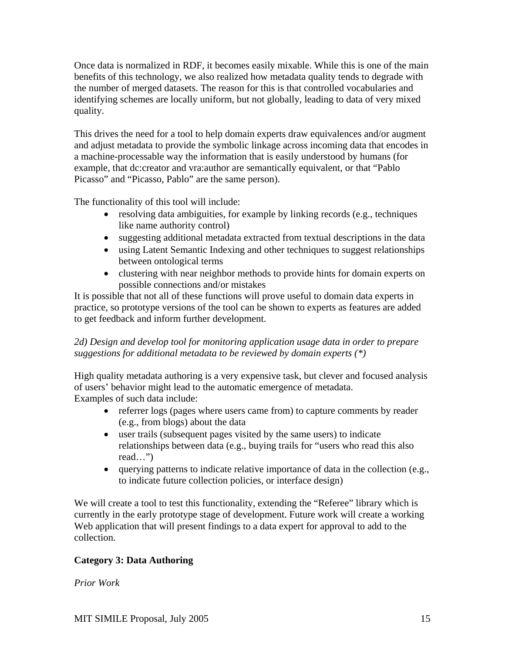Once data is normalized in RDF, it becomes easily mixable. While this is one of the main benefits of this technology, we also realized how metadata quality tends to degrade with the number of merged datasets. The reason for this is that controlled vocabularies and identifying schemes are locally uniform, but not globally, leading to data of very mixed quality.

This drives the need for a tool to help domain experts draw equivalences and/or augment and adjust metadata to provide the symbolic linkage across incoming data that encodes in a machine-processable way the information that is easily understood by humans (for example, that dc:creator and vra:author are semantically equivalent, or that "Pablo Picasso" and "Picasso, Pablo" are the same person).

The functionality of this tool will include:

- resolving data ambiguities, for example by linking records (e.g., techniques like name authority control)
- suggesting additional metadata extracted from textual descriptions in the data
- using Latent Semantic Indexing and other techniques to suggest relationships between ontological terms
- clustering with near neighbor methods to provide hints for domain experts on possible connections and/or mistakes

It is possible that not all of these functions will prove useful to domain data experts in practice, so prototype versions of the tool can be shown to experts as features are added to get feedback and inform further development.

# *2d) Design and develop tool for monitoring application usage data in order to prepare suggestions for additional metadata to be reviewed by domain experts (\*)*

High quality metadata authoring is a very expensive task, but clever and focused analysis of users' behavior might lead to the automatic emergence of metadata. Examples of such data include:

- referrer logs (pages where users came from) to capture comments by reader (e.g., from blogs) about the data
- user trails (subsequent pages visited by the same users) to indicate relationships between data (e.g., buying trails for "users who read this also read…")
- querying patterns to indicate relative importance of data in the collection (e.g., to indicate future collection policies, or interface design)

We will create a tool to test this functionality, extending the "Referee" library which is currently in the early prototype stage of development. Future work will create a working Web application that will present findings to a data expert for approval to add to the collection.

# **Category 3: Data Authoring**

*Prior Work*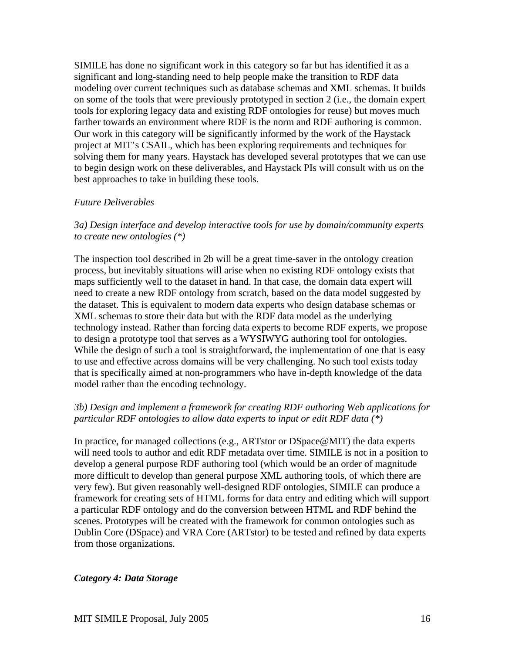SIMILE has done no significant work in this category so far but has identified it as a significant and long-standing need to help people make the transition to RDF data modeling over current techniques such as database schemas and XML schemas. It builds on some of the tools that were previously prototyped in section 2 (i.e., the domain expert tools for exploring legacy data and existing RDF ontologies for reuse) but moves much farther towards an environment where RDF is the norm and RDF authoring is common. Our work in this category will be significantly informed by the work of the Haystack project at MIT's CSAIL, which has been exploring requirements and techniques for solving them for many years. Haystack has developed several prototypes that we can use to begin design work on these deliverables, and Haystack PIs will consult with us on the best approaches to take in building these tools.

#### *Future Deliverables*

*3a) Design interface and develop interactive tools for use by domain/community experts to create new ontologies (\*)*

The inspection tool described in 2b will be a great time-saver in the ontology creation process, but inevitably situations will arise when no existing RDF ontology exists that maps sufficiently well to the dataset in hand. In that case, the domain data expert will need to create a new RDF ontology from scratch, based on the data model suggested by the dataset. This is equivalent to modern data experts who design database schemas or XML schemas to store their data but with the RDF data model as the underlying technology instead. Rather than forcing data experts to become RDF experts, we propose to design a prototype tool that serves as a WYSIWYG authoring tool for ontologies. While the design of such a tool is straightforward, the implementation of one that is easy to use and effective across domains will be very challenging. No such tool exists today that is specifically aimed at non-programmers who have in-depth knowledge of the data model rather than the encoding technology.

#### *3b) Design and implement a framework for creating RDF authoring Web applications for particular RDF ontologies to allow data experts to input or edit RDF data (\*)*

In practice, for managed collections (e.g., ARTstor or DSpace@MIT) the data experts will need tools to author and edit RDF metadata over time. SIMILE is not in a position to develop a general purpose RDF authoring tool (which would be an order of magnitude more difficult to develop than general purpose XML authoring tools, of which there are very few). But given reasonably well-designed RDF ontologies, SIMILE can produce a framework for creating sets of HTML forms for data entry and editing which will support a particular RDF ontology and do the conversion between HTML and RDF behind the scenes. Prototypes will be created with the framework for common ontologies such as Dublin Core (DSpace) and VRA Core (ARTstor) to be tested and refined by data experts from those organizations.

#### *Category 4: Data Storage*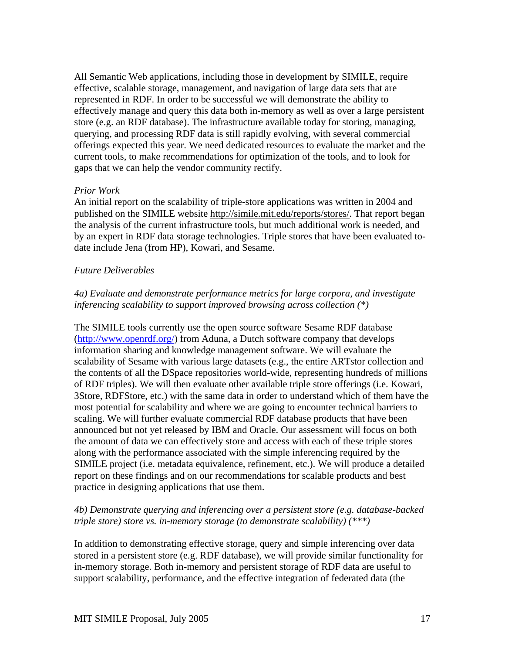All Semantic Web applications, including those in development by SIMILE, require effective, scalable storage, management, and navigation of large data sets that are represented in RDF. In order to be successful we will demonstrate the ability to effectively manage and query this data both in-memory as well as over a large persistent store (e.g. an RDF database). The infrastructure available today for storing, managing, querying, and processing RDF data is still rapidly evolving, with several commercial offerings expected this year. We need dedicated resources to evaluate the market and the current tools, to make recommendations for optimization of the tools, and to look for gaps that we can help the vendor community rectify.

#### *Prior Work*

An initial report on the scalability of triple-store applications was written in 2004 and published on the SIMILE website [http://simile.mit.edu/reports/stores/.](http://simile.mit.edu/reports/stores/) That report began the analysis of the current infrastructure tools, but much additional work is needed, and by an expert in RDF data storage technologies. Triple stores that have been evaluated todate include Jena (from HP), Kowari, and Sesame.

# *Future Deliverables*

#### *4a) Evaluate and demonstrate performance metrics for large corpora, and investigate inferencing scalability to support improved browsing across collection (\*)*

The SIMILE tools currently use the open source software Sesame RDF database (<http://www.openrdf.org/>) from Aduna, a Dutch software company that develops information sharing and knowledge management software. We will evaluate the scalability of Sesame with various large datasets (e.g., the entire ARTstor collection and the contents of all the DSpace repositories world-wide, representing hundreds of millions of RDF triples). We will then evaluate other available triple store offerings (i.e. Kowari, 3Store, RDFStore, etc.) with the same data in order to understand which of them have the most potential for scalability and where we are going to encounter technical barriers to scaling. We will further evaluate commercial RDF database products that have been announced but not yet released by IBM and Oracle. Our assessment will focus on both the amount of data we can effectively store and access with each of these triple stores along with the performance associated with the simple inferencing required by the SIMILE project (i.e. metadata equivalence, refinement, etc.). We will produce a detailed report on these findings and on our recommendations for scalable products and best practice in designing applications that use them.

# *4b) Demonstrate querying and inferencing over a persistent store (e.g. database-backed triple store) store vs. in-memory storage (to demonstrate scalability) (\*\*\*)*

In addition to demonstrating effective storage, query and simple inferencing over data stored in a persistent store (e.g. RDF database), we will provide similar functionality for in-memory storage. Both in-memory and persistent storage of RDF data are useful to support scalability, performance, and the effective integration of federated data (the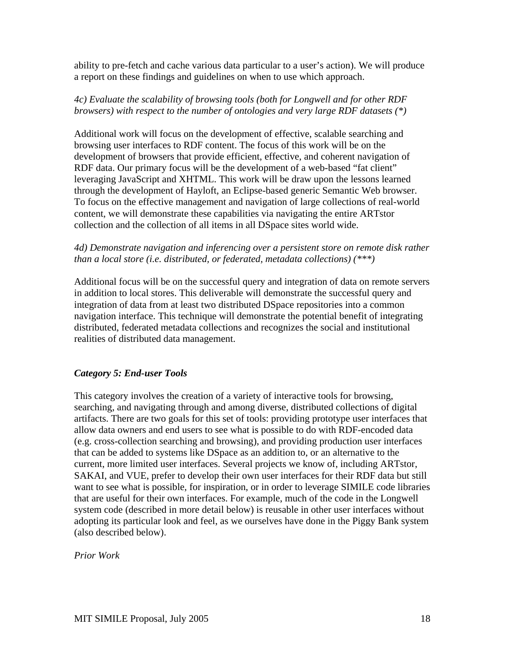ability to pre-fetch and cache various data particular to a user's action). We will produce a report on these findings and guidelines on when to use which approach.

#### *4c) Evaluate the scalability of browsing tools (both for Longwell and for other RDF browsers) with respect to the number of ontologies and very large RDF datasets (\*)*

Additional work will focus on the development of effective, scalable searching and browsing user interfaces to RDF content. The focus of this work will be on the development of browsers that provide efficient, effective, and coherent navigation of RDF data. Our primary focus will be the development of a web-based "fat client" leveraging JavaScript and XHTML. This work will be draw upon the lessons learned through the development of Hayloft, an Eclipse-based generic Semantic Web browser. To focus on the effective management and navigation of large collections of real-world content, we will demonstrate these capabilities via navigating the entire ARTstor collection and the collection of all items in all DSpace sites world wide.

#### *4d) Demonstrate navigation and inferencing over a persistent store on remote disk rather than a local store (i.e. distributed, or federated, metadata collections) (\*\*\*)*

Additional focus will be on the successful query and integration of data on remote servers in addition to local stores. This deliverable will demonstrate the successful query and integration of data from at least two distributed DSpace repositories into a common navigation interface. This technique will demonstrate the potential benefit of integrating distributed, federated metadata collections and recognizes the social and institutional realities of distributed data management.

# *Category 5: End-user Tools*

This category involves the creation of a variety of interactive tools for browsing, searching, and navigating through and among diverse, distributed collections of digital artifacts. There are two goals for this set of tools: providing prototype user interfaces that allow data owners and end users to see what is possible to do with RDF-encoded data (e.g. cross-collection searching and browsing), and providing production user interfaces that can be added to systems like DSpace as an addition to, or an alternative to the current, more limited user interfaces. Several projects we know of, including ARTstor, SAKAI, and VUE, prefer to develop their own user interfaces for their RDF data but still want to see what is possible, for inspiration, or in order to leverage SIMILE code libraries that are useful for their own interfaces. For example, much of the code in the Longwell system code (described in more detail below) is reusable in other user interfaces without adopting its particular look and feel, as we ourselves have done in the Piggy Bank system (also described below).

*Prior Work*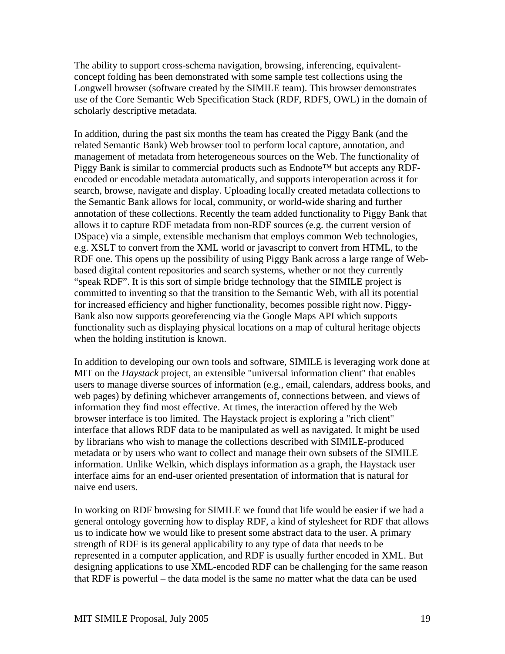The ability to support cross-schema navigation, browsing, inferencing, equivalentconcept folding has been demonstrated with some sample test collections using the Longwell browser (software created by the SIMILE team). This browser demonstrates use of the Core Semantic Web Specification Stack (RDF, RDFS, OWL) in the domain of scholarly descriptive metadata.

In addition, during the past six months the team has created the Piggy Bank (and the related Semantic Bank) Web browser tool to perform local capture, annotation, and management of metadata from heterogeneous sources on the Web. The functionality of Piggy Bank is similar to commercial products such as Endnote™ but accepts any RDFencoded or encodable metadata automatically, and supports interoperation across it for search, browse, navigate and display. Uploading locally created metadata collections to the Semantic Bank allows for local, community, or world-wide sharing and further annotation of these collections. Recently the team added functionality to Piggy Bank that allows it to capture RDF metadata from non-RDF sources (e.g. the current version of DSpace) via a simple, extensible mechanism that employs common Web technologies, e.g. XSLT to convert from the XML world or javascript to convert from HTML, to the RDF one. This opens up the possibility of using Piggy Bank across a large range of Webbased digital content repositories and search systems, whether or not they currently "speak RDF". It is this sort of simple bridge technology that the SIMILE project is committed to inventing so that the transition to the Semantic Web, with all its potential for increased efficiency and higher functionality, becomes possible right now. Piggy-Bank also now supports georeferencing via the Google Maps API which supports functionality such as displaying physical locations on a map of cultural heritage objects when the holding institution is known.

In addition to developing our own tools and software, SIMILE is leveraging work done at MIT on the *Haystack* project, an extensible "universal information client" that enables users to manage diverse sources of information (e.g., email, calendars, address books, and web pages) by defining whichever arrangements of, connections between, and views of information they find most effective. At times, the interaction offered by the Web browser interface is too limited. The Haystack project is exploring a "rich client" interface that allows RDF data to be manipulated as well as navigated. It might be used by librarians who wish to manage the collections described with SIMILE-produced metadata or by users who want to collect and manage their own subsets of the SIMILE information. Unlike Welkin, which displays information as a graph, the Haystack user interface aims for an end-user oriented presentation of information that is natural for naive end users.

In working on RDF browsing for SIMILE we found that life would be easier if we had a general ontology governing how to display RDF, a kind of stylesheet for RDF that allows us to indicate how we would like to present some abstract data to the user. A primary strength of RDF is its general applicability to any type of data that needs to be represented in a computer application, and RDF is usually further encoded in XML. But designing applications to use XML-encoded RDF can be challenging for the same reason that RDF is powerful – the data model is the same no matter what the data can be used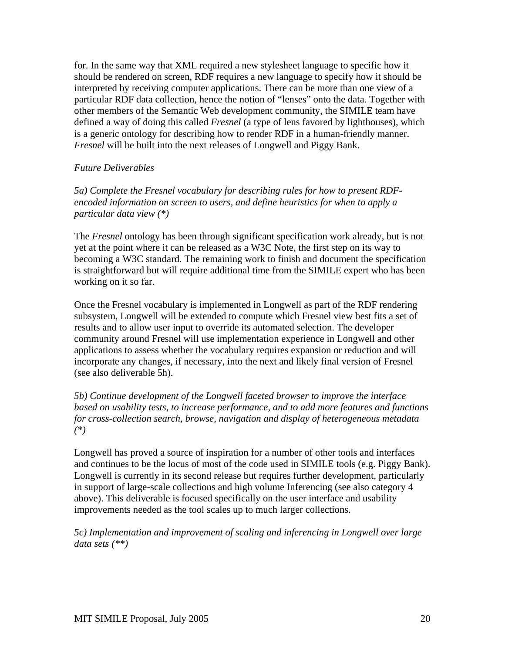for. In the same way that XML required a new stylesheet language to specific how it should be rendered on screen, RDF requires a new language to specify how it should be interpreted by receiving computer applications. There can be more than one view of a particular RDF data collection, hence the notion of "lenses" onto the data. Together with other members of the Semantic Web development community, the SIMILE team have defined a way of doing this called *Fresnel* (a type of lens favored by lighthouses), which is a generic ontology for describing how to render RDF in a human-friendly manner. *Fresnel* will be built into the next releases of Longwell and Piggy Bank.

# *Future Deliverables*

*5a) Complete the Fresnel vocabulary for describing rules for how to present RDFencoded information on screen to users, and define heuristics for when to apply a particular data view (\*)* 

The *Fresnel* ontology has been through significant specification work already, but is not yet at the point where it can be released as a W3C Note, the first step on its way to becoming a W3C standard. The remaining work to finish and document the specification is straightforward but will require additional time from the SIMILE expert who has been working on it so far.

Once the Fresnel vocabulary is implemented in Longwell as part of the RDF rendering subsystem, Longwell will be extended to compute which Fresnel view best fits a set of results and to allow user input to override its automated selection. The developer community around Fresnel will use implementation experience in Longwell and other applications to assess whether the vocabulary requires expansion or reduction and will incorporate any changes, if necessary, into the next and likely final version of Fresnel (see also deliverable 5h).

*5b) Continue development of the Longwell faceted browser to improve the interface based on usability tests, to increase performance, and to add more features and functions for cross-collection search, browse, navigation and display of heterogeneous metadata (\*)* 

Longwell has proved a source of inspiration for a number of other tools and interfaces and continues to be the locus of most of the code used in SIMILE tools (e.g. Piggy Bank). Longwell is currently in its second release but requires further development, particularly in support of large-scale collections and high volume Inferencing (see also category 4 above). This deliverable is focused specifically on the user interface and usability improvements needed as the tool scales up to much larger collections.

*5c) Implementation and improvement of scaling and inferencing in Longwell over large data sets (\*\*)*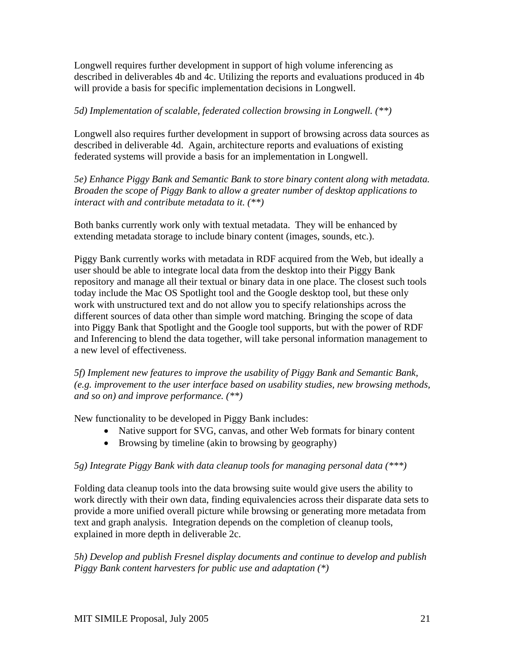Longwell requires further development in support of high volume inferencing as described in deliverables 4b and 4c. Utilizing the reports and evaluations produced in 4b will provide a basis for specific implementation decisions in Longwell.

# *5d) Implementation of scalable, federated collection browsing in Longwell. (\*\*)*

Longwell also requires further development in support of browsing across data sources as described in deliverable 4d. Again, architecture reports and evaluations of existing federated systems will provide a basis for an implementation in Longwell.

*5e) Enhance Piggy Bank and Semantic Bank to store binary content along with metadata. Broaden the scope of Piggy Bank to allow a greater number of desktop applications to interact with and contribute metadata to it. (\*\*)*

Both banks currently work only with textual metadata. They will be enhanced by extending metadata storage to include binary content (images, sounds, etc.).

Piggy Bank currently works with metadata in RDF acquired from the Web, but ideally a user should be able to integrate local data from the desktop into their Piggy Bank repository and manage all their textual or binary data in one place. The closest such tools today include the Mac OS Spotlight tool and the Google desktop tool, but these only work with unstructured text and do not allow you to specify relationships across the different sources of data other than simple word matching. Bringing the scope of data into Piggy Bank that Spotlight and the Google tool supports, but with the power of RDF and Inferencing to blend the data together, will take personal information management to a new level of effectiveness.

*5f) Implement new features to improve the usability of Piggy Bank and Semantic Bank, (e.g. improvement to the user interface based on usability studies, new browsing methods, and so on) and improve performance. (\*\*)*

New functionality to be developed in Piggy Bank includes:

- Native support for SVG, canvas, and other Web formats for binary content
- Browsing by timeline (akin to browsing by geography)

# *5g) Integrate Piggy Bank with data cleanup tools for managing personal data (\*\*\*)*

Folding data cleanup tools into the data browsing suite would give users the ability to work directly with their own data, finding equivalencies across their disparate data sets to provide a more unified overall picture while browsing or generating more metadata from text and graph analysis. Integration depends on the completion of cleanup tools, explained in more depth in deliverable 2c.

*5h) Develop and publish Fresnel display documents and continue to develop and publish Piggy Bank content harvesters for public use and adaptation (\*)*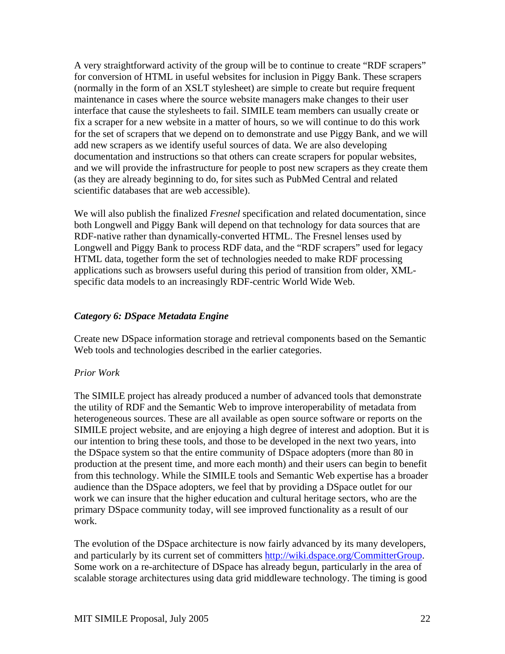A very straightforward activity of the group will be to continue to create "RDF scrapers" for conversion of HTML in useful websites for inclusion in Piggy Bank. These scrapers (normally in the form of an XSLT stylesheet) are simple to create but require frequent maintenance in cases where the source website managers make changes to their user interface that cause the stylesheets to fail. SIMILE team members can usually create or fix a scraper for a new website in a matter of hours, so we will continue to do this work for the set of scrapers that we depend on to demonstrate and use Piggy Bank, and we will add new scrapers as we identify useful sources of data. We are also developing documentation and instructions so that others can create scrapers for popular websites, and we will provide the infrastructure for people to post new scrapers as they create them (as they are already beginning to do, for sites such as PubMed Central and related scientific databases that are web accessible).

We will also publish the finalized *Fresnel* specification and related documentation, since both Longwell and Piggy Bank will depend on that technology for data sources that are RDF-native rather than dynamically-converted HTML. The Fresnel lenses used by Longwell and Piggy Bank to process RDF data, and the "RDF scrapers" used for legacy HTML data, together form the set of technologies needed to make RDF processing applications such as browsers useful during this period of transition from older, XMLspecific data models to an increasingly RDF-centric World Wide Web.

#### *Category 6: DSpace Metadata Engine*

Create new DSpace information storage and retrieval components based on the Semantic Web tools and technologies described in the earlier categories.

#### *Prior Work*

The SIMILE project has already produced a number of advanced tools that demonstrate the utility of RDF and the Semantic Web to improve interoperability of metadata from heterogeneous sources. These are all available as open source software or reports on the SIMILE project website, and are enjoying a high degree of interest and adoption. But it is our intention to bring these tools, and those to be developed in the next two years, into the DSpace system so that the entire community of DSpace adopters (more than 80 in production at the present time, and more each month) and their users can begin to benefit from this technology. While the SIMILE tools and Semantic Web expertise has a broader audience than the DSpace adopters, we feel that by providing a DSpace outlet for our work we can insure that the higher education and cultural heritage sectors, who are the primary DSpace community today, will see improved functionality as a result of our work.

The evolution of the DSpace architecture is now fairly advanced by its many developers, and particularly by its current set of committers [http://wiki.dspace.org/CommitterGroup.](http://wiki.dspace.org/CommitterGroup) Some work on a re-architecture of DSpace has already begun, particularly in the area of scalable storage architectures using data grid middleware technology. The timing is good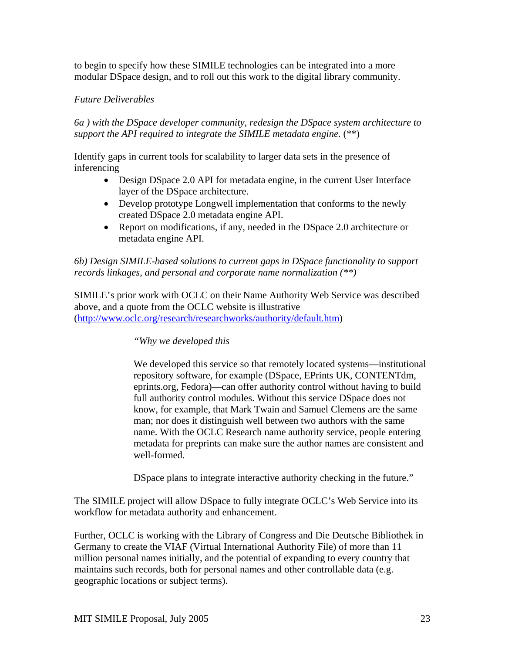to begin to specify how these SIMILE technologies can be integrated into a more modular DSpace design, and to roll out this work to the digital library community.

# *Future Deliverables*

*6a ) with the DSpace developer community, redesign the DSpace system architecture to support the API required to integrate the SIMILE metadata engine.* (\*\*)

Identify gaps in current tools for scalability to larger data sets in the presence of inferencing

- Design DSpace 2.0 API for metadata engine, in the current User Interface layer of the DSpace architecture.
- Develop prototype Longwell implementation that conforms to the newly created DSpace 2.0 metadata engine API.
- Report on modifications, if any, needed in the DSpace 2.0 architecture or metadata engine API.

#### *6b) Design SIMILE-based solutions to current gaps in DSpace functionality to support records linkages, and personal and corporate name normalization (\*\*)*

SIMILE's prior work with OCLC on their Name Authority Web Service was described above, and a quote from the OCLC website is illustrative ([http://www.oclc.org/research/researchworks/authority/default.htm\)](http://www.oclc.org/research/researchworks/authority/default.htm)

# *"Why we developed this*

We developed this service so that remotely located systems—institutional repository software, for example (DSpace, EPrints UK, CONTENTdm, eprints.org, Fedora)—can offer authority control without having to build full authority control modules. Without this service DSpace does not know, for example, that Mark Twain and Samuel Clemens are the same man; nor does it distinguish well between two authors with the same name. With the OCLC Research name authority service, people entering metadata for preprints can make sure the author names are consistent and well-formed.

DSpace plans to integrate interactive authority checking in the future."

The SIMILE project will allow DSpace to fully integrate OCLC's Web Service into its workflow for metadata authority and enhancement.

Further, OCLC is working with the Library of Congress and Die Deutsche Bibliothek in Germany to create the VIAF (Virtual International Authority File) of more than 11 million personal names initially, and the potential of expanding to every country that maintains such records, both for personal names and other controllable data (e.g. geographic locations or subject terms).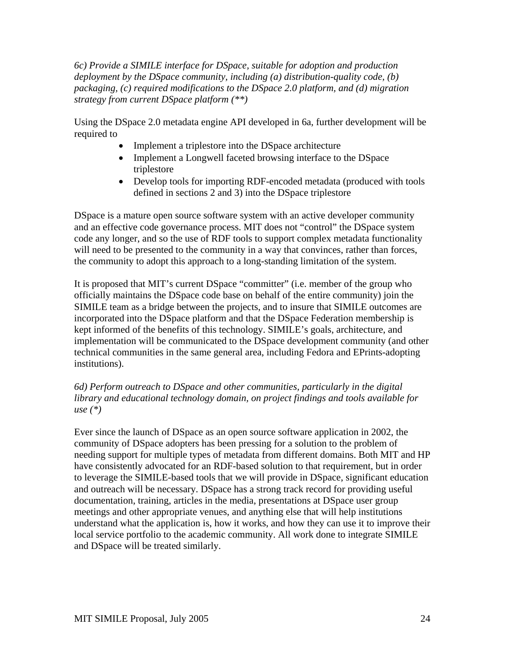*6c) Provide a SIMILE interface for DSpace, suitable for adoption and production deployment by the DSpace community, including (a) distribution-quality code, (b) packaging, (c) required modifications to the DSpace 2.0 platform, and (d) migration strategy from current DSpace platform (\*\*)*

Using the DSpace 2.0 metadata engine API developed in 6a, further development will be required to

- Implement a triplestore into the DSpace architecture
- Implement a Longwell faceted browsing interface to the DSpace triplestore
- Develop tools for importing RDF-encoded metadata (produced with tools defined in sections 2 and 3) into the DSpace triplestore

DSpace is a mature open source software system with an active developer community and an effective code governance process. MIT does not "control" the DSpace system code any longer, and so the use of RDF tools to support complex metadata functionality will need to be presented to the community in a way that convinces, rather than forces, the community to adopt this approach to a long-standing limitation of the system.

It is proposed that MIT's current DSpace "committer" (i.e. member of the group who officially maintains the DSpace code base on behalf of the entire community) join the SIMILE team as a bridge between the projects, and to insure that SIMILE outcomes are incorporated into the DSpace platform and that the DSpace Federation membership is kept informed of the benefits of this technology. SIMILE's goals, architecture, and implementation will be communicated to the DSpace development community (and other technical communities in the same general area, including Fedora and EPrints-adopting institutions).

*6d) Perform outreach to DSpace and other communities, particularly in the digital library and educational technology domain, on project findings and tools available for use (\*)*

Ever since the launch of DSpace as an open source software application in 2002, the community of DSpace adopters has been pressing for a solution to the problem of needing support for multiple types of metadata from different domains. Both MIT and HP have consistently advocated for an RDF-based solution to that requirement, but in order to leverage the SIMILE-based tools that we will provide in DSpace, significant education and outreach will be necessary. DSpace has a strong track record for providing useful documentation, training, articles in the media, presentations at DSpace user group meetings and other appropriate venues, and anything else that will help institutions understand what the application is, how it works, and how they can use it to improve their local service portfolio to the academic community. All work done to integrate SIMILE and DSpace will be treated similarly.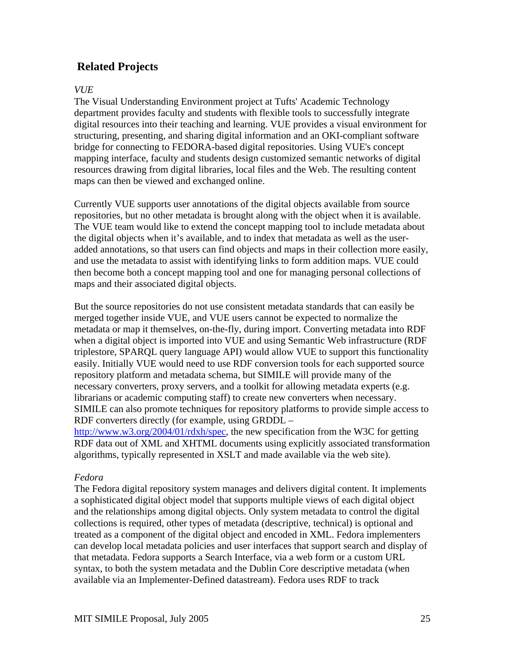# **Related Projects**

#### *VUE*

The Visual Understanding Environment project at Tufts' Academic Technology department provides faculty and students with flexible tools to successfully integrate digital resources into their teaching and learning. VUE provides a visual environment for structuring, presenting, and sharing digital information and an OKI-compliant software bridge for connecting to FEDORA-based digital repositories. Using VUE's concept mapping interface, faculty and students design customized semantic networks of digital resources drawing from digital libraries, local files and the Web. The resulting content maps can then be viewed and exchanged online.

Currently VUE supports user annotations of the digital objects available from source repositories, but no other metadata is brought along with the object when it is available. The VUE team would like to extend the concept mapping tool to include metadata about the digital objects when it's available, and to index that metadata as well as the useradded annotations, so that users can find objects and maps in their collection more easily, and use the metadata to assist with identifying links to form addition maps. VUE could then become both a concept mapping tool and one for managing personal collections of maps and their associated digital objects.

But the source repositories do not use consistent metadata standards that can easily be merged together inside VUE, and VUE users cannot be expected to normalize the metadata or map it themselves, on-the-fly, during import. Converting metadata into RDF when a digital object is imported into VUE and using Semantic Web infrastructure (RDF triplestore, SPARQL query language API) would allow VUE to support this functionality easily. Initially VUE would need to use RDF conversion tools for each supported source repository platform and metadata schema, but SIMILE will provide many of the necessary converters, proxy servers, and a toolkit for allowing metadata experts (e.g. librarians or academic computing staff) to create new converters when necessary. SIMILE can also promote techniques for repository platforms to provide simple access to RDF converters directly (for example, using GRDDL –

<http://www.w3.org/2004/01/rdxh/spec>, the new specification from the W3C for getting RDF data out of XML and XHTML documents using explicitly associated transformation algorithms, typically represented in XSLT and made available via the web site).

# *Fedora*

The Fedora digital repository system manages and delivers digital content. It implements a sophisticated digital object model that supports multiple views of each digital object and the relationships among digital objects. Only system metadata to control the digital collections is required, other types of metadata (descriptive, technical) is optional and treated as a component of the digital object and encoded in XML. Fedora implementers can develop local metadata policies and user interfaces that support search and display of that metadata. Fedora supports a Search Interface, via a web form or a custom URL syntax, to both the system metadata and the Dublin Core descriptive metadata (when available via an Implementer-Defined datastream). Fedora uses RDF to track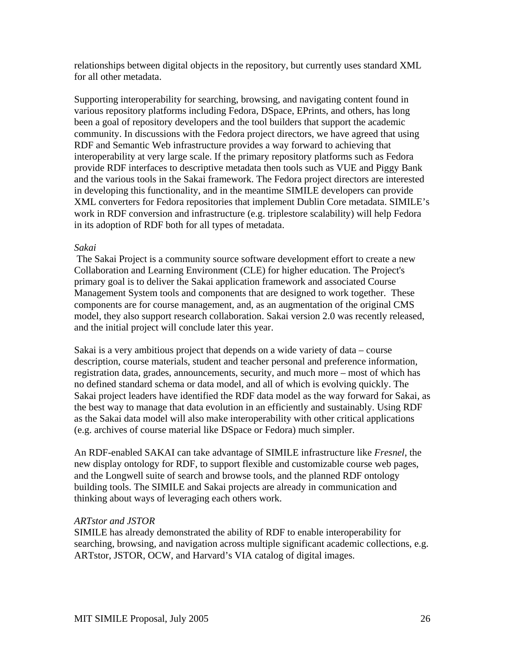relationships between digital objects in the repository, but currently uses standard XML for all other metadata.

Supporting interoperability for searching, browsing, and navigating content found in various repository platforms including Fedora, DSpace, EPrints, and others, has long been a goal of repository developers and the tool builders that support the academic community. In discussions with the Fedora project directors, we have agreed that using RDF and Semantic Web infrastructure provides a way forward to achieving that interoperability at very large scale. If the primary repository platforms such as Fedora provide RDF interfaces to descriptive metadata then tools such as VUE and Piggy Bank and the various tools in the Sakai framework. The Fedora project directors are interested in developing this functionality, and in the meantime SIMILE developers can provide XML converters for Fedora repositories that implement Dublin Core metadata. SIMILE's work in RDF conversion and infrastructure (e.g. triplestore scalability) will help Fedora in its adoption of RDF both for all types of metadata.

#### *Sakai*

 The Sakai Project is a community source software development effort to create a new Collaboration and Learning Environment (CLE) for higher education. The Project's primary goal is to deliver the Sakai application framework and associated Course Management System tools and components that are designed to work together. These components are for course management, and, as an augmentation of the original CMS model, they also support research collaboration. Sakai version 2.0 was recently released, and the initial project will conclude later this year.

Sakai is a very ambitious project that depends on a wide variety of data – course description, course materials, student and teacher personal and preference information, registration data, grades, announcements, security, and much more – most of which has no defined standard schema or data model, and all of which is evolving quickly. The Sakai project leaders have identified the RDF data model as the way forward for Sakai, as the best way to manage that data evolution in an efficiently and sustainably. Using RDF as the Sakai data model will also make interoperability with other critical applications (e.g. archives of course material like DSpace or Fedora) much simpler.

An RDF-enabled SAKAI can take advantage of SIMILE infrastructure like *Fresnel*, the new display ontology for RDF, to support flexible and customizable course web pages, and the Longwell suite of search and browse tools, and the planned RDF ontology building tools. The SIMILE and Sakai projects are already in communication and thinking about ways of leveraging each others work.

#### *ARTstor and JSTOR*

SIMILE has already demonstrated the ability of RDF to enable interoperability for searching, browsing, and navigation across multiple significant academic collections, e.g. ARTstor, JSTOR, OCW, and Harvard's VIA catalog of digital images.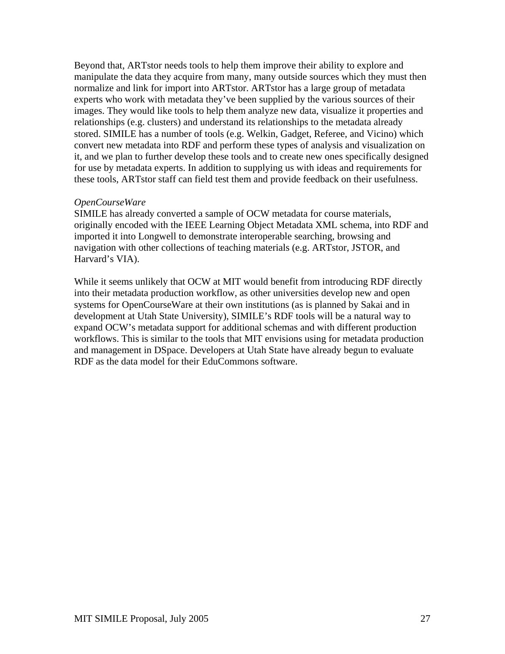Beyond that, ARTstor needs tools to help them improve their ability to explore and manipulate the data they acquire from many, many outside sources which they must then normalize and link for import into ARTstor. ARTstor has a large group of metadata experts who work with metadata they've been supplied by the various sources of their images. They would like tools to help them analyze new data, visualize it properties and relationships (e.g. clusters) and understand its relationships to the metadata already stored. SIMILE has a number of tools (e.g. Welkin, Gadget, Referee, and Vicino) which convert new metadata into RDF and perform these types of analysis and visualization on it, and we plan to further develop these tools and to create new ones specifically designed for use by metadata experts. In addition to supplying us with ideas and requirements for these tools, ARTstor staff can field test them and provide feedback on their usefulness.

#### *OpenCourseWare*

SIMILE has already converted a sample of OCW metadata for course materials, originally encoded with the IEEE Learning Object Metadata XML schema, into RDF and imported it into Longwell to demonstrate interoperable searching, browsing and navigation with other collections of teaching materials (e.g. ARTstor, JSTOR, and Harvard's VIA).

While it seems unlikely that OCW at MIT would benefit from introducing RDF directly into their metadata production workflow, as other universities develop new and open systems for OpenCourseWare at their own institutions (as is planned by Sakai and in development at Utah State University), SIMILE's RDF tools will be a natural way to expand OCW's metadata support for additional schemas and with different production workflows. This is similar to the tools that MIT envisions using for metadata production and management in DSpace. Developers at Utah State have already begun to evaluate RDF as the data model for their EduCommons software.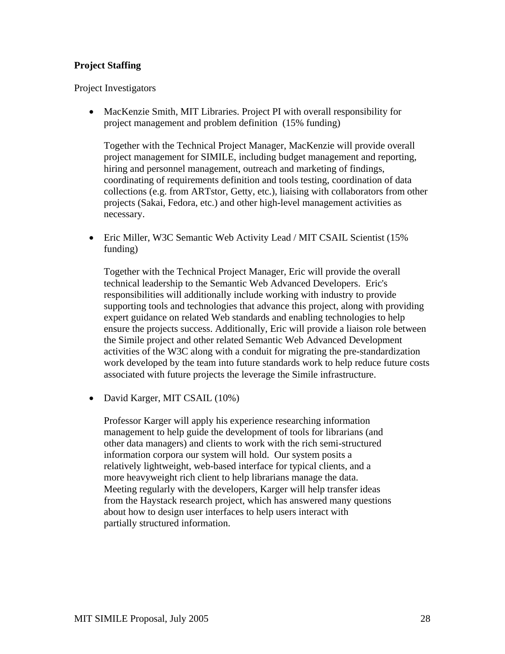# **Project Staffing**

Project Investigators

• MacKenzie Smith, MIT Libraries. Project PI with overall responsibility for project management and problem definition (15% funding)

Together with the Technical Project Manager, MacKenzie will provide overall project management for SIMILE, including budget management and reporting, hiring and personnel management, outreach and marketing of findings, coordinating of requirements definition and tools testing, coordination of data collections (e.g. from ARTstor, Getty, etc.), liaising with collaborators from other projects (Sakai, Fedora, etc.) and other high-level management activities as necessary.

• Eric Miller, W3C Semantic Web Activity Lead / MIT CSAIL Scientist (15%) funding)

Together with the Technical Project Manager, Eric will provide the overall technical leadership to the Semantic Web Advanced Developers. Eric's responsibilities will additionally include working with industry to provide supporting tools and technologies that advance this project, along with providing expert guidance on related Web standards and enabling technologies to help ensure the projects success. Additionally, Eric will provide a liaison role between the Simile project and other related Semantic Web Advanced Development activities of the W3C along with a conduit for migrating the pre-standardization work developed by the team into future standards work to help reduce future costs associated with future projects the leverage the Simile infrastructure.

• David Karger, MIT CSAIL (10%)

Professor Karger will apply his experience researching information management to help guide the development of tools for librarians (and other data managers) and clients to work with the rich semi-structured information corpora our system will hold. Our system posits a relatively lightweight, web-based interface for typical clients, and a more heavyweight rich client to help librarians manage the data. Meeting regularly with the developers, Karger will help transfer ideas from the Haystack research project, which has answered many questions about how to design user interfaces to help users interact with partially structured information.